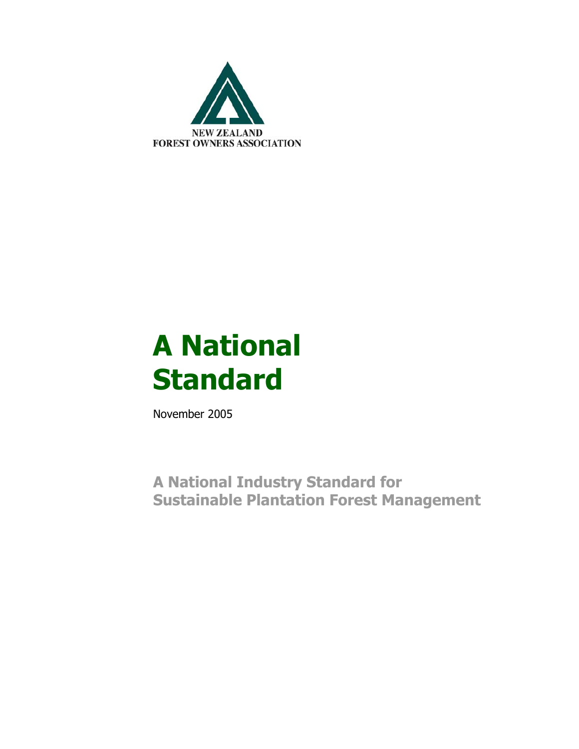

# **A National Standard**

November 2005

**A National Industry Standard for Sustainable Plantation Forest Management**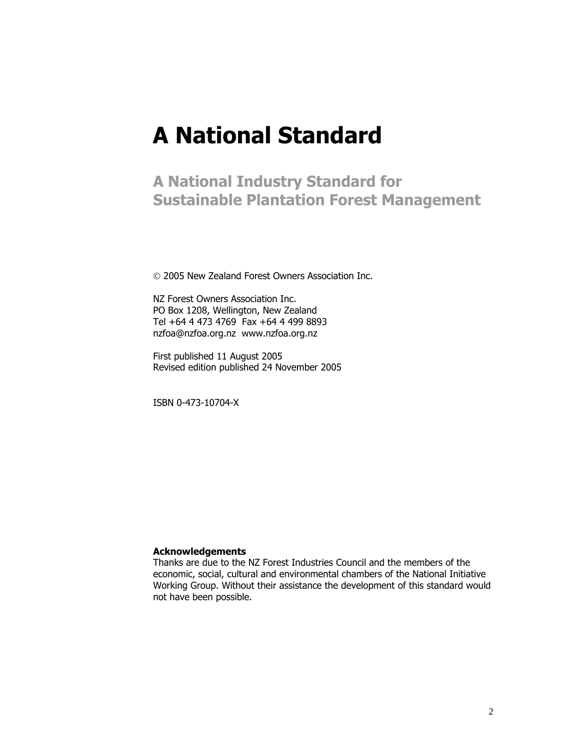## **A National Standard**

**A National Industry Standard for Sustainable Plantation Forest Management**

© 2005 New Zealand Forest Owners Association Inc.

NZ Forest Owners Association Inc. PO Box 1208, Wellington, New Zealand Tel +64 4 473 4769 Fax +64 4 499 8893 nzfoa@nzfoa.org.nz www.nzfoa.org.nz

First published 11 August 2005 Revised edition published 24 November 2005

ISBN 0-473-10704-X

#### **Acknowledgements**

Thanks are due to the NZ Forest Industries Council and the members of the economic, social, cultural and environmental chambers of the National Initiative Working Group. Without their assistance the development of this standard would not have been possible.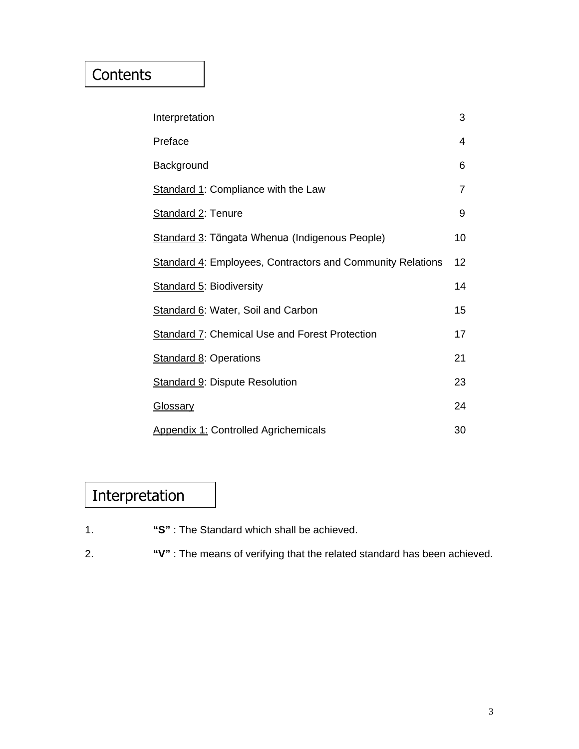### **Contents**

| Interpretation                                                    | 3  |
|-------------------------------------------------------------------|----|
| Preface                                                           | 4  |
| Background                                                        | 6  |
| <b>Standard 1: Compliance with the Law</b>                        | 7  |
| Standard 2: Tenure                                                | 9  |
| Standard 3: Tāngata Whenua (Indigenous People)                    | 10 |
| <b>Standard 4: Employees, Contractors and Community Relations</b> | 12 |
| <b>Standard 5: Biodiversity</b>                                   | 14 |
| Standard 6: Water, Soil and Carbon                                | 15 |
| <b>Standard 7: Chemical Use and Forest Protection</b>             | 17 |
| <b>Standard 8: Operations</b>                                     | 21 |
| <b>Standard 9: Dispute Resolution</b>                             | 23 |
| <b>Glossary</b>                                                   | 24 |
| <b>Appendix 1: Controlled Agrichemicals</b>                       | 30 |

## Interpretation

- 1. **"S"** : The Standard which shall be achieved.
- 2. **"V"** : The means of verifying that the related standard has been achieved.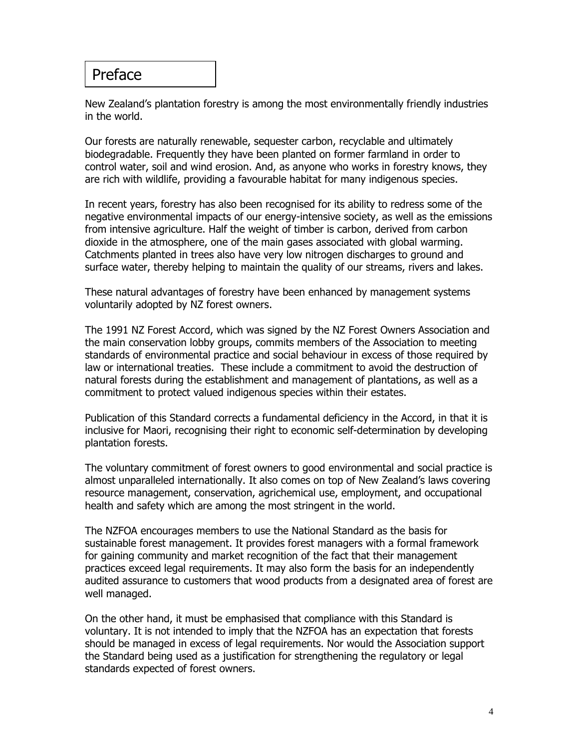### Preface

New Zealand's plantation forestry is among the most environmentally friendly industries in the world.

Our forests are naturally renewable, sequester carbon, recyclable and ultimately biodegradable. Frequently they have been planted on former farmland in order to control water, soil and wind erosion. And, as anyone who works in forestry knows, they are rich with wildlife, providing a favourable habitat for many indigenous species.

In recent years, forestry has also been recognised for its ability to redress some of the negative environmental impacts of our energy-intensive society, as well as the emissions from intensive agriculture. Half the weight of timber is carbon, derived from carbon dioxide in the atmosphere, one of the main gases associated with global warming. Catchments planted in trees also have very low nitrogen discharges to ground and surface water, thereby helping to maintain the quality of our streams, rivers and lakes.

These natural advantages of forestry have been enhanced by management systems voluntarily adopted by NZ forest owners.

The 1991 NZ Forest Accord, which was signed by the NZ Forest Owners Association and the main conservation lobby groups, commits members of the Association to meeting standards of environmental practice and social behaviour in excess of those required by law or international treaties. These include a commitment to avoid the destruction of natural forests during the establishment and management of plantations, as well as a commitment to protect valued indigenous species within their estates.

Publication of this Standard corrects a fundamental deficiency in the Accord, in that it is inclusive for Maori, recognising their right to economic self-determination by developing plantation forests.

The voluntary commitment of forest owners to good environmental and social practice is almost unparalleled internationally. It also comes on top of New Zealand's laws covering resource management, conservation, agrichemical use, employment, and occupational health and safety which are among the most stringent in the world.

The NZFOA encourages members to use the National Standard as the basis for sustainable forest management. It provides forest managers with a formal framework for gaining community and market recognition of the fact that their management practices exceed legal requirements. It may also form the basis for an independently audited assurance to customers that wood products from a designated area of forest are well managed.

On the other hand, it must be emphasised that compliance with this Standard is voluntary. It is not intended to imply that the NZFOA has an expectation that forests should be managed in excess of legal requirements. Nor would the Association support the Standard being used as a justification for strengthening the regulatory or legal standards expected of forest owners.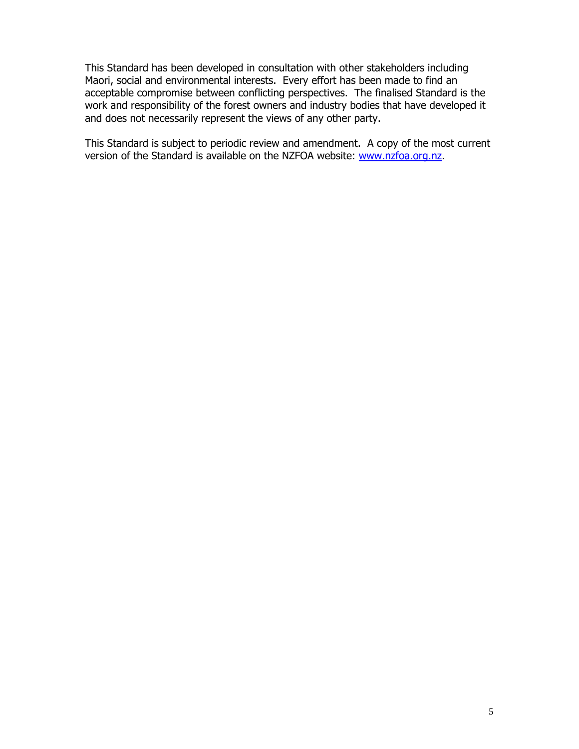This Standard has been developed in consultation with other stakeholders including Maori, social and environmental interests. Every effort has been made to find an acceptable compromise between conflicting perspectives. The finalised Standard is the work and responsibility of the forest owners and industry bodies that have developed it and does not necessarily represent the views of any other party.

This Standard is subject to periodic review and amendment. A copy of the most current version of the Standard is available on the NZFOA website: www.nzfoa.org.nz.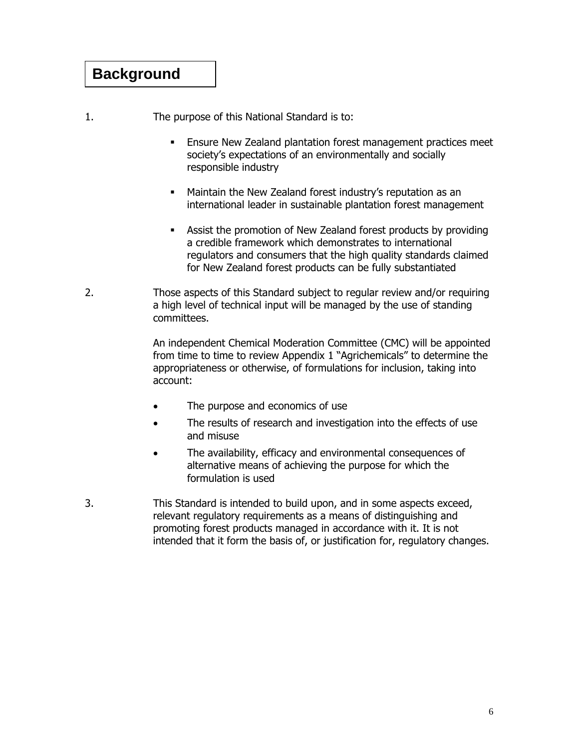### **Background**

1. The purpose of this National Standard is to:

- Ensure New Zealand plantation forest management practices meet society's expectations of an environmentally and socially responsible industry
- Maintain the New Zealand forest industry's reputation as an international leader in sustainable plantation forest management
- Assist the promotion of New Zealand forest products by providing a credible framework which demonstrates to international regulators and consumers that the high quality standards claimed for New Zealand forest products can be fully substantiated
- 2. Those aspects of this Standard subject to regular review and/or requiring a high level of technical input will be managed by the use of standing committees.

 An independent Chemical Moderation Committee (CMC) will be appointed from time to time to review Appendix 1 "Agrichemicals" to determine the appropriateness or otherwise, of formulations for inclusion, taking into account:

- The purpose and economics of use
- The results of research and investigation into the effects of use and misuse
- The availability, efficacy and environmental consequences of alternative means of achieving the purpose for which the formulation is used
- 3. This Standard is intended to build upon, and in some aspects exceed, relevant regulatory requirements as a means of distinguishing and promoting forest products managed in accordance with it. It is not intended that it form the basis of, or justification for, regulatory changes.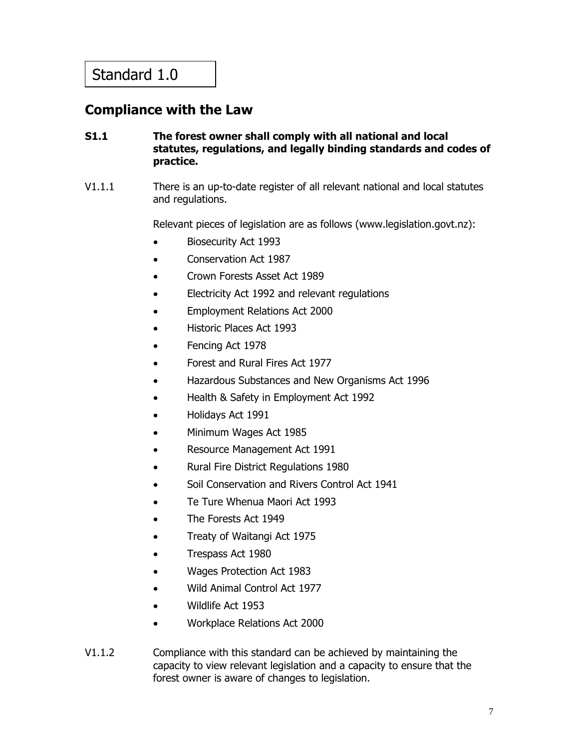### **Compliance with the Law**

### **S1.1 The forest owner shall comply with all national and local statutes, regulations, and legally binding standards and codes of practice.**

V1.1.1 There is an up-to-date register of all relevant national and local statutes and regulations.

Relevant pieces of legislation are as follows (www.legislation.govt.nz):

- Biosecurity Act 1993
- Conservation Act 1987
- Crown Forests Asset Act 1989
- Electricity Act 1992 and relevant regulations
- Employment Relations Act 2000
- Historic Places Act 1993
- Fencing Act 1978
- Forest and Rural Fires Act 1977
- Hazardous Substances and New Organisms Act 1996
- Health & Safety in Employment Act 1992
- Holidays Act 1991
- Minimum Wages Act 1985
- Resource Management Act 1991
- Rural Fire District Regulations 1980
- Soil Conservation and Rivers Control Act 1941
- Te Ture Whenua Maori Act 1993
- The Forests Act 1949
- Treaty of Waitangi Act 1975
- Trespass Act 1980
- Wages Protection Act 1983
- Wild Animal Control Act 1977
- Wildlife Act 1953
- Workplace Relations Act 2000
- V1.1.2 Compliance with this standard can be achieved by maintaining the capacity to view relevant legislation and a capacity to ensure that the forest owner is aware of changes to legislation.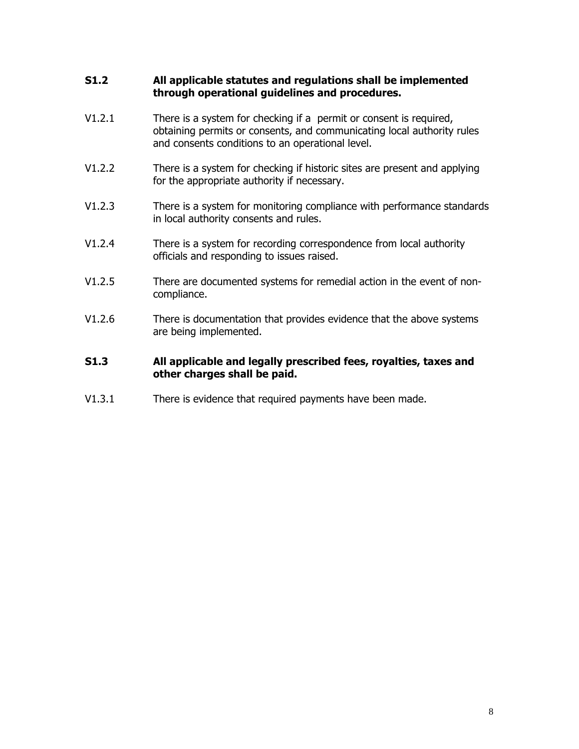### **S1.2 All applicable statutes and regulations shall be implemented through operational guidelines and procedures.**

- V1.2.1 There is a system for checking if a permit or consent is required, obtaining permits or consents, and communicating local authority rules and consents conditions to an operational level.
- V1.2.2 There is a system for checking if historic sites are present and applying for the appropriate authority if necessary.
- V1.2.3 There is a system for monitoring compliance with performance standards in local authority consents and rules.
- V1.2.4 There is a system for recording correspondence from local authority officials and responding to issues raised.
- V1.2.5 There are documented systems for remedial action in the event of noncompliance.
- V1.2.6 There is documentation that provides evidence that the above systems are being implemented.

### **S1.3 All applicable and legally prescribed fees, royalties, taxes and other charges shall be paid.**

V1.3.1 There is evidence that required payments have been made.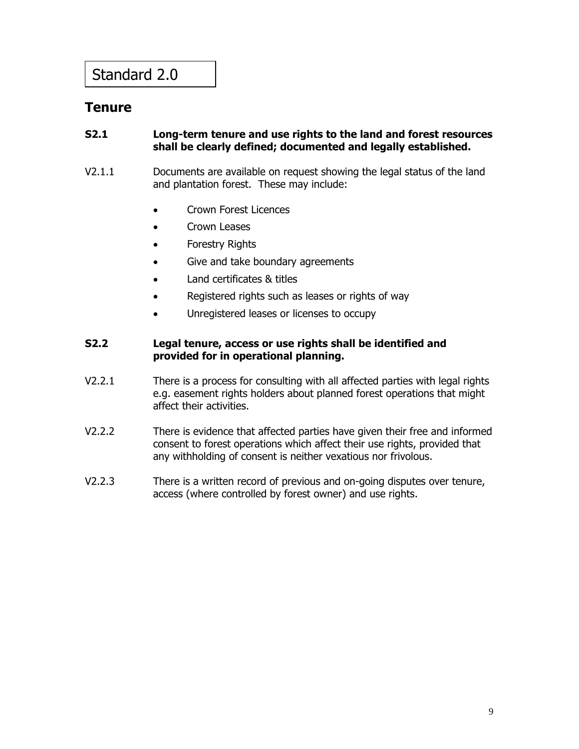### **Tenure**

### **S2.1 Long-term tenure and use rights to the land and forest resources shall be clearly defined; documented and legally established.**

- V2.1.1 Documents are available on request showing the legal status of the land and plantation forest. These may include:
	- Crown Forest Licences
	- Crown Leases
	- Forestry Rights
	- Give and take boundary agreements
	- Land certificates & titles
	- Registered rights such as leases or rights of way
	- Unregistered leases or licenses to occupy

### **S2.2 Legal tenure, access or use rights shall be identified and provided for in operational planning.**

- V2.2.1 There is a process for consulting with all affected parties with legal rights e.g. easement rights holders about planned forest operations that might affect their activities.
- V2.2.2 There is evidence that affected parties have given their free and informed consent to forest operations which affect their use rights, provided that any withholding of consent is neither vexatious nor frivolous.
- V2.2.3 There is a written record of previous and on-going disputes over tenure, access (where controlled by forest owner) and use rights.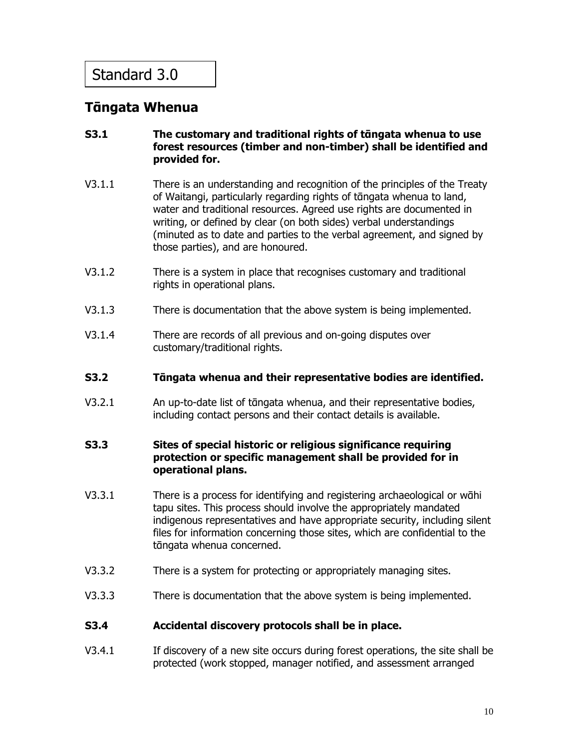### **Tᾱngata Whenua**

### **S3.1 The customary and traditional rights of tᾱngata whenua to use forest resources (timber and non-timber) shall be identified and provided for.**

- V3.1.1 There is an understanding and recognition of the principles of the Treaty of Waitangi, particularly regarding rights of tᾱngata whenua to land, water and traditional resources. Agreed use rights are documented in writing, or defined by clear (on both sides) verbal understandings (minuted as to date and parties to the verbal agreement, and signed by those parties), and are honoured.
- V3.1.2 There is a system in place that recognises customary and traditional rights in operational plans.
- V3.1.3 There is documentation that the above system is being implemented.
- V3.1.4 There are records of all previous and on-going disputes over customary/traditional rights.
- **S3.2 Tᾱngata whenua and their representative bodies are identified.**
- V3.2.1 An up-to-date list of tᾱngata whenua, and their representative bodies, including contact persons and their contact details is available.

#### **S3.3 Sites of special historic or religious significance requiring protection or specific management shall be provided for in operational plans.**

- V3.3.1 There is a process for identifying and registering archaeological or wāhi tapu sites. This process should involve the appropriately mandated indigenous representatives and have appropriate security, including silent files for information concerning those sites, which are confidential to the tāngata whenua concerned.
- V3.3.2 There is a system for protecting or appropriately managing sites.
- V3.3.3 There is documentation that the above system is being implemented.

#### **S3.4 Accidental discovery protocols shall be in place.**

V3.4.1If discovery of a new site occurs during forest operations, the site shall be protected (work stopped, manager notified, and assessment arranged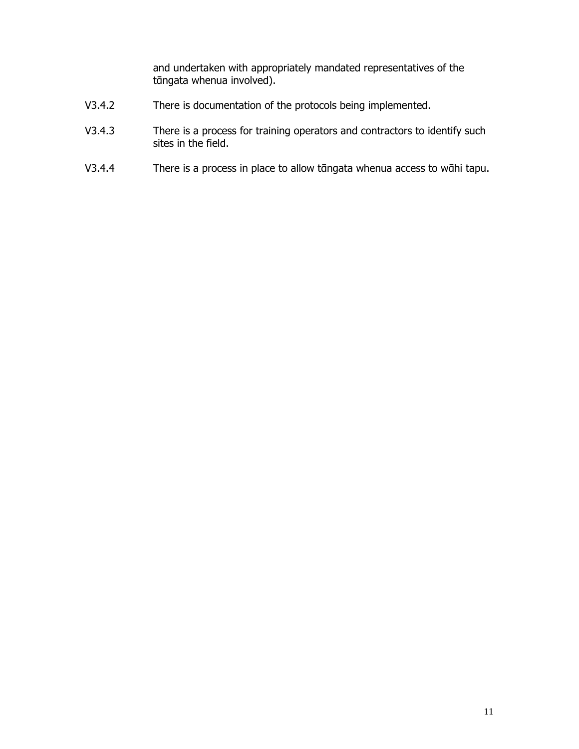and undertaken with appropriately mandated representatives of the tāngata whenua involved).

- V3.4.2 There is documentation of the protocols being implemented.
- V3.4.3 There is a process for training operators and contractors to identify such sites in the field.
- V3.4.4 There is a process in place to allow tāngata whenua access to wāhi tapu.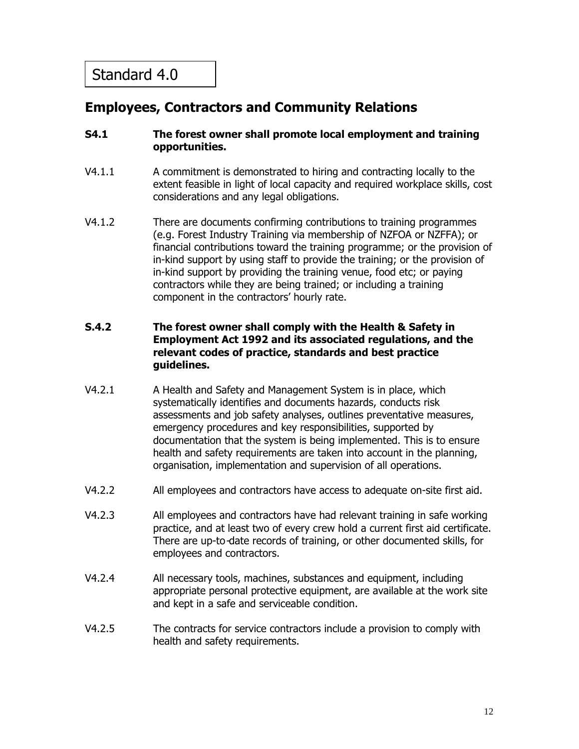### **Employees, Contractors and Community Relations**

### **S4.1 The forest owner shall promote local employment and training opportunities.**

- V4.1.1 A commitment is demonstrated to hiring and contracting locally to the extent feasible in light of local capacity and required workplace skills, cost considerations and any legal obligations.
- V4.1.2 There are documents confirming contributions to training programmes (e.g. Forest Industry Training via membership of NZFOA or NZFFA); or financial contributions toward the training programme; or the provision of in-kind support by using staff to provide the training; or the provision of in-kind support by providing the training venue, food etc; or paying contractors while they are being trained; or including a training component in the contractors' hourly rate.

### **S.4.2 The forest owner shall comply with the Health & Safety in Employment Act 1992 and its associated regulations, and the relevant codes of practice, standards and best practice guidelines.**

- V4.2.1 A Health and Safety and Management System is in place, which systematically identifies and documents hazards, conducts risk assessments and job safety analyses, outlines preventative measures, emergency procedures and key responsibilities, supported by documentation that the system is being implemented. This is to ensure health and safety requirements are taken into account in the planning, organisation, implementation and supervision of all operations.
- V4.2.2 All employees and contractors have access to adequate on-site first aid.
- V4.2.3 All employees and contractors have had relevant training in safe working practice, and at least two of every crew hold a current first aid certificate. There are up-to-date records of training, or other documented skills, for employees and contractors.
- V4.2.4 All necessary tools, machines, substances and equipment, including appropriate personal protective equipment, are available at the work site and kept in a safe and serviceable condition.
- V4.2.5 The contracts for service contractors include a provision to comply with health and safety requirements.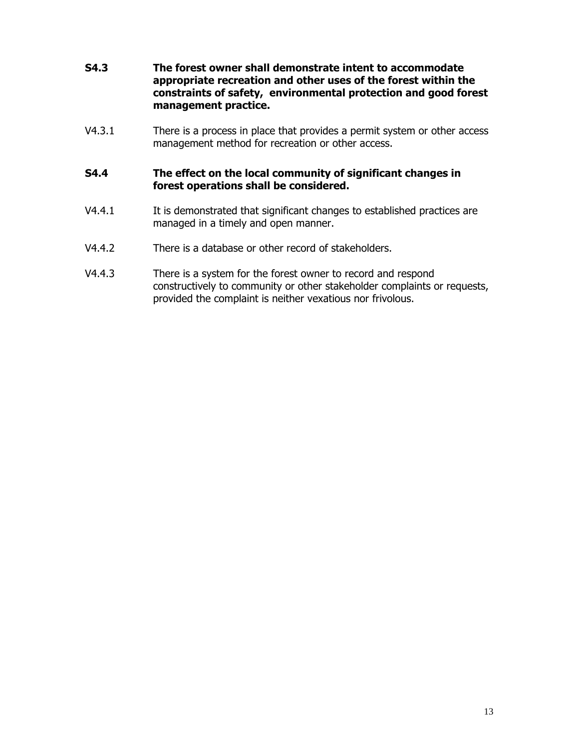- **S4.3 The forest owner shall demonstrate intent to accommodate appropriate recreation and other uses of the forest within the constraints of safety, environmental protection and good forest management practice.**
- V4.3.1 There is a process in place that provides a permit system or other access management method for recreation or other access.

#### **S4.4 The effect on the local community of significant changes in forest operations shall be considered.**

- V4.4.1 It is demonstrated that significant changes to established practices are managed in a timely and open manner.
- V4.4.2 There is a database or other record of stakeholders.
- V4.4.3 There is a system for the forest owner to record and respond constructively to community or other stakeholder complaints or requests, provided the complaint is neither vexatious nor frivolous.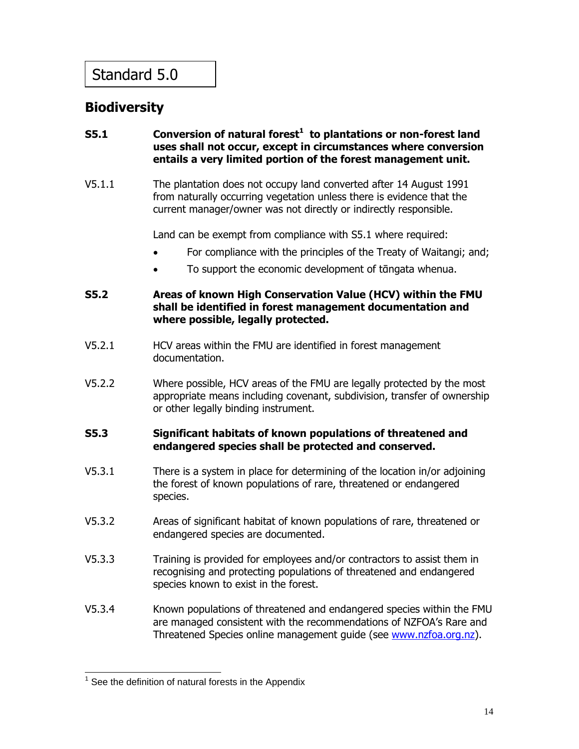### **Biodiversity**

### **S5.1 Conversion of natural forest<sup>1</sup> to plantations or non-forest land uses shall not occur, except in circumstances where conversion entails a very limited portion of the forest management unit.**

V5.1.1 The plantation does not occupy land converted after 14 August 1991 from naturally occurring vegetation unless there is evidence that the current manager/owner was not directly or indirectly responsible.

Land can be exempt from compliance with S5.1 where required:

- For compliance with the principles of the Treaty of Waitangi; and;
- To support the economic development of tāngata whenua.

#### **S5.2 Areas of known High Conservation Value (HCV) within the FMU shall be identified in forest management documentation and where possible, legally protected.**

- V5.2.1 HCV areas within the FMU are identified in forest management documentation.
- V5.2.2 Where possible, HCV areas of the FMU are legally protected by the most appropriate means including covenant, subdivision, transfer of ownership or other legally binding instrument.

### **S5.3 Significant habitats of known populations of threatened and endangered species shall be protected and conserved.**

- V5.3.1 There is a system in place for determining of the location in/or adjoining the forest of known populations of rare, threatened or endangered species.
- V5.3.2 Areas of significant habitat of known populations of rare, threatened or endangered species are documented.
- V5.3.3 Training is provided for employees and/or contractors to assist them in recognising and protecting populations of threatened and endangered species known to exist in the forest.
- V5.3.4 Known populations of threatened and endangered species within the FMU are managed consistent with the recommendations of NZFOA's Rare and Threatened Species online management guide (see www.nzfoa.org.nz).

**<sup>1</sup>**<br><sup>1</sup> See the definition of natural forests in the Appendix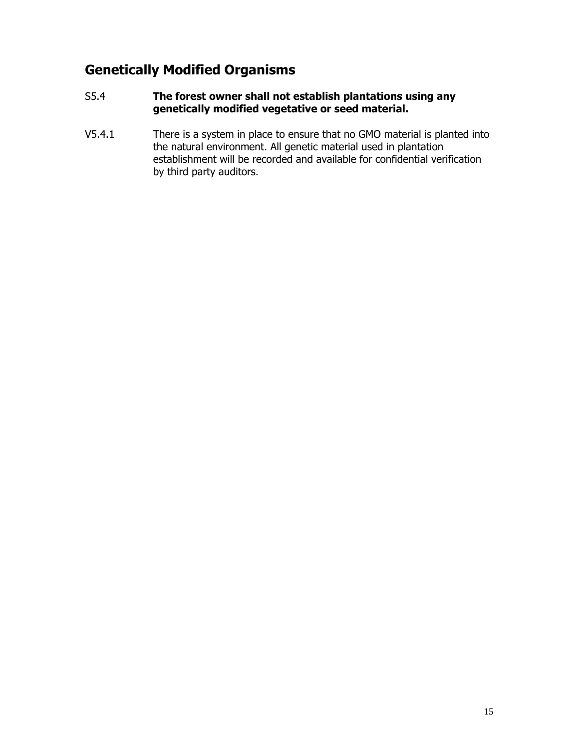### **Genetically Modified Organisms**

### S5.4 **The forest owner shall not establish plantations using any genetically modified vegetative or seed material.**

V5.4.1 There is a system in place to ensure that no GMO material is planted into the natural environment. All genetic material used in plantation establishment will be recorded and available for confidential verification by third party auditors.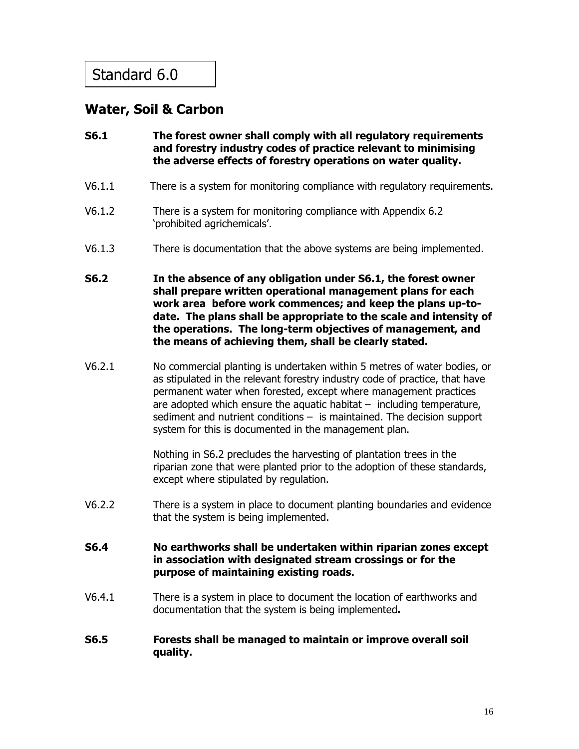### **Water, Soil & Carbon**

- **S6.1 The forest owner shall comply with all regulatory requirements and forestry industry codes of practice relevant to minimising the adverse effects of forestry operations on water quality.**
- V6.1.1 There is a system for monitoring compliance with regulatory requirements.
- V6.1.2 There is a system for monitoring compliance with Appendix 6.2 'prohibited agrichemicals'.
- V6.1.3 There is documentation that the above systems are being implemented.
- **S6.2 In the absence of any obligation under S6.1, the forest owner shall prepare written operational management plans for each work area before work commences; and keep the plans up-todate. The plans shall be appropriate to the scale and intensity of the operations. The long-term objectives of management, and the means of achieving them, shall be clearly stated.**
- V6.2.1 No commercial planting is undertaken within 5 metres of water bodies, or as stipulated in the relevant forestry industry code of practice, that have permanent water when forested, except where management practices are adopted which ensure the aquatic habitat  $-$  including temperature, sediment and nutrient conditions – is maintained. The decision support system for this is documented in the management plan.

Nothing in S6.2 precludes the harvesting of plantation trees in the riparian zone that were planted prior to the adoption of these standards, except where stipulated by regulation.

- V6.2.2 There is a system in place to document planting boundaries and evidence that the system is being implemented.
- **S6.4 No earthworks shall be undertaken within riparian zones except in association with designated stream crossings or for the purpose of maintaining existing roads.**
- V6.4.1 There is a system in place to document the location of earthworks and documentation that the system is being implemented**.**
- **S6.5 Forests shall be managed to maintain or improve overall soil quality.**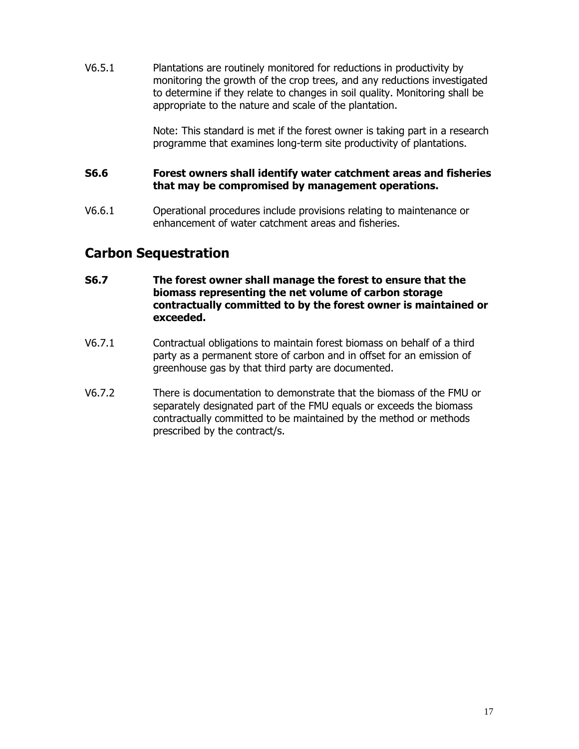V6.5.1 Plantations are routinely monitored for reductions in productivity by monitoring the growth of the crop trees, and any reductions investigated to determine if they relate to changes in soil quality. Monitoring shall be appropriate to the nature and scale of the plantation.

> Note: This standard is met if the forest owner is taking part in a research programme that examines long-term site productivity of plantations.

### **S6.6 Forest owners shall identify water catchment areas and fisheries that may be compromised by management operations.**

V6.6.1 Operational procedures include provisions relating to maintenance or enhancement of water catchment areas and fisheries.

### **Carbon Sequestration**

- **S6.7 The forest owner shall manage the forest to ensure that the biomass representing the net volume of carbon storage contractually committed to by the forest owner is maintained or exceeded.**
- V6.7.1 Contractual obligations to maintain forest biomass on behalf of a third party as a permanent store of carbon and in offset for an emission of greenhouse gas by that third party are documented.
- V6.7.2 There is documentation to demonstrate that the biomass of the FMU or separately designated part of the FMU equals or exceeds the biomass contractually committed to be maintained by the method or methods prescribed by the contract/s.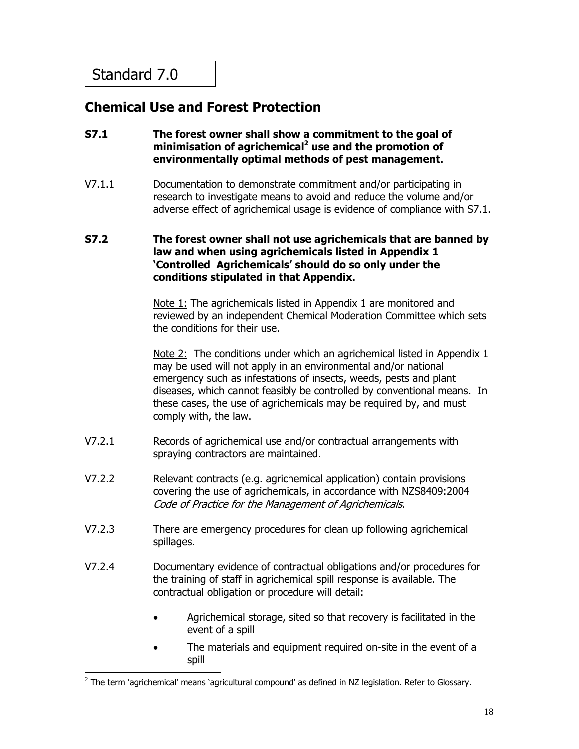### **Chemical Use and Forest Protection**

- **S7.1 The forest owner shall show a commitment to the goal of**  minimisation of agrichemical<sup>2</sup> use and the promotion of **environmentally optimal methods of pest management.**
- V7.1.1 Documentation to demonstrate commitment and/or participating in research to investigate means to avoid and reduce the volume and/or adverse effect of agrichemical usage is evidence of compliance with S7.1.

#### **S7.2 The forest owner shall not use agrichemicals that are banned by law and when using agrichemicals listed in Appendix 1 'Controlled Agrichemicals' should do so only under the conditions stipulated in that Appendix.**

Note 1: The agrichemicals listed in Appendix 1 are monitored and reviewed by an independent Chemical Moderation Committee which sets the conditions for their use.

Note 2: The conditions under which an agrichemical listed in Appendix 1 may be used will not apply in an environmental and/or national emergency such as infestations of insects, weeds, pests and plant diseases, which cannot feasibly be controlled by conventional means. In these cases, the use of agrichemicals may be required by, and must comply with, the law.

- V7.2.1 Records of agrichemical use and/or contractual arrangements with spraying contractors are maintained.
- V7.2.2 Relevant contracts (e.g. agrichemical application) contain provisions covering the use of agrichemicals, in accordance with NZS8409:2004 Code of Practice for the Management of Agrichemicals.
- V7.2.3 There are emergency procedures for clean up following agrichemical spillages.
- V7.2.4 Documentary evidence of contractual obligations and/or procedures for the training of staff in agrichemical spill response is available. The contractual obligation or procedure will detail:
	- Agrichemical storage, sited so that recovery is facilitated in the event of a spill
	- The materials and equipment required on-site in the event of a spill

 $\frac{2}{\pi}$ The term `agrichemical' means `agricultural compound' as defined in NZ legislation. Refer to Glossary.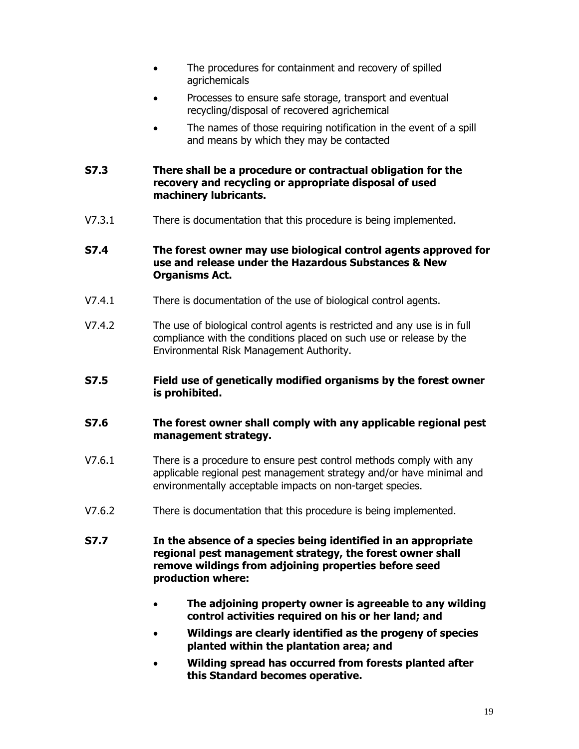- The procedures for containment and recovery of spilled agrichemicals
- Processes to ensure safe storage, transport and eventual recycling/disposal of recovered agrichemical
- The names of those requiring notification in the event of a spill and means by which they may be contacted

### **S7.3 There shall be a procedure or contractual obligation for the recovery and recycling or appropriate disposal of used machinery lubricants.**

V7.3.1 There is documentation that this procedure is being implemented.

### **S7.4 The forest owner may use biological control agents approved for use and release under the Hazardous Substances & New Organisms Act.**

- V7.4.1 There is documentation of the use of biological control agents.
- V7.4.2 The use of biological control agents is restricted and any use is in full compliance with the conditions placed on such use or release by the Environmental Risk Management Authority.

### **S7.5 Field use of genetically modified organisms by the forest owner is prohibited.**

### **S7.6 The forest owner shall comply with any applicable regional pest management strategy.**

- V7.6.1 There is a procedure to ensure pest control methods comply with any applicable regional pest management strategy and/or have minimal and environmentally acceptable impacts on non-target species.
- V7.6.2 There is documentation that this procedure is being implemented.

#### **S7.7 In the absence of a species being identified in an appropriate regional pest management strategy, the forest owner shall remove wildings from adjoining properties before seed production where:**

- **The adjoining property owner is agreeable to any wilding control activities required on his or her land; and**
- **Wildings are clearly identified as the progeny of species planted within the plantation area; and**
- **Wilding spread has occurred from forests planted after this Standard becomes operative.**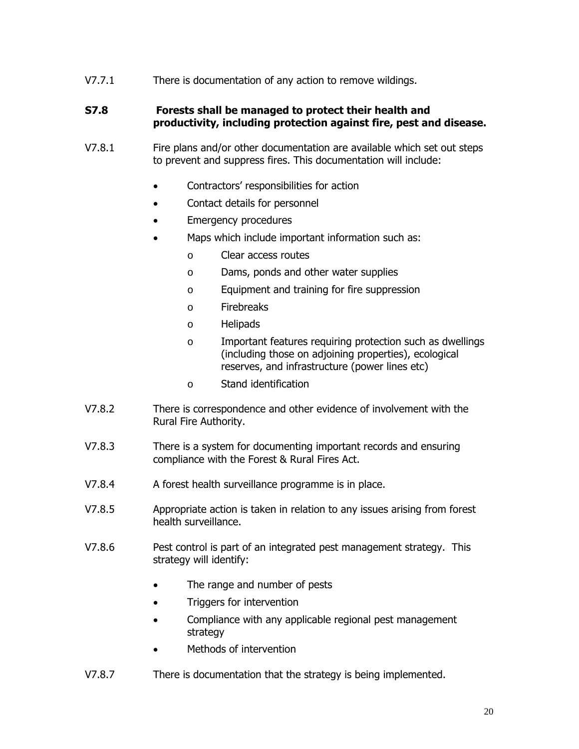V7.7.1 There is documentation of any action to remove wildings.

#### **S7.8 Forests shall be managed to protect their health and productivity, including protection against fire, pest and disease.**

- V7.8.1 Fire plans and/or other documentation are available which set out steps to prevent and suppress fires. This documentation will include:
	- Contractors' responsibilities for action
	- Contact details for personnel
	- **Emergency procedures**
	- Maps which include important information such as:
		- o Clear access routes
		- o Dams, ponds and other water supplies
		- o Equipment and training for fire suppression
		- o Firebreaks
		- o Helipads
		- o Important features requiring protection such as dwellings (including those on adjoining properties), ecological reserves, and infrastructure (power lines etc)
		- o Stand identification
- V7.8.2 There is correspondence and other evidence of involvement with the Rural Fire Authority.
- V7.8.3 There is a system for documenting important records and ensuring compliance with the Forest & Rural Fires Act.
- V7.8.4 A forest health surveillance programme is in place.
- V7.8.5 Appropriate action is taken in relation to any issues arising from forest health surveillance.
- V7.8.6 Pest control is part of an integrated pest management strategy. This strategy will identify:
	- The range and number of pests
	- Triggers for intervention
	- Compliance with any applicable regional pest management strategy
	- Methods of intervention
- V7.8.7 There is documentation that the strategy is being implemented.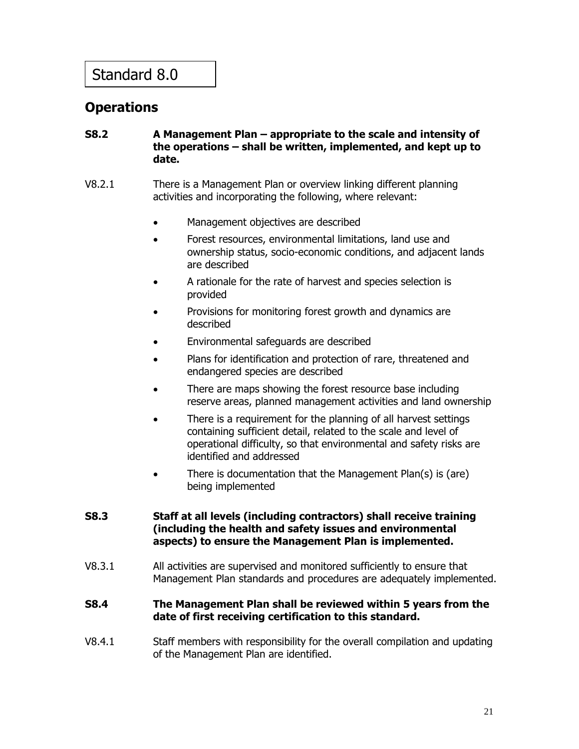### **Operations**

### **S8.2 A Management Plan – appropriate to the scale and intensity of the operations – shall be written, implemented, and kept up to date.**

- V8.2.1 There is a Management Plan or overview linking different planning activities and incorporating the following, where relevant:
	- Management objectives are described
	- Forest resources, environmental limitations, land use and ownership status, socio-economic conditions, and adjacent lands are described
	- A rationale for the rate of harvest and species selection is provided
	- Provisions for monitoring forest growth and dynamics are described
	- Environmental safeguards are described
	- Plans for identification and protection of rare, threatened and endangered species are described
	- There are maps showing the forest resource base including reserve areas, planned management activities and land ownership
	- There is a requirement for the planning of all harvest settings containing sufficient detail, related to the scale and level of operational difficulty, so that environmental and safety risks are identified and addressed
	- There is documentation that the Management Plan(s) is (are) being implemented

### **S8.3 Staff at all levels (including contractors) shall receive training (including the health and safety issues and environmental aspects) to ensure the Management Plan is implemented.**

V8.3.1 All activities are supervised and monitored sufficiently to ensure that Management Plan standards and procedures are adequately implemented.

### **S8.4 The Management Plan shall be reviewed within 5 years from the date of first receiving certification to this standard.**

V8.4.1 Staff members with responsibility for the overall compilation and updating of the Management Plan are identified.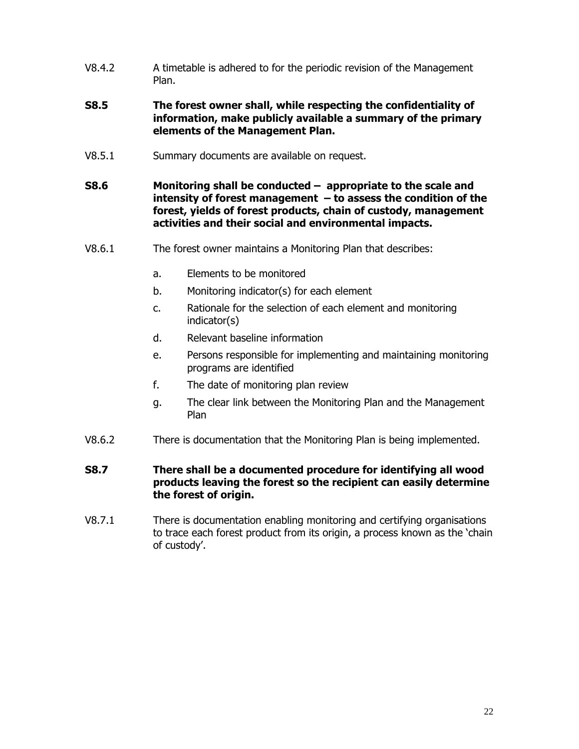- V8.4.2 A timetable is adhered to for the periodic revision of the Management Plan.
- **S8.5 The forest owner shall, while respecting the confidentiality of information, make publicly available a summary of the primary elements of the Management Plan.**
- V8.5.1 Summary documents are available on request.
- **S8.6 Monitoring shall be conducted appropriate to the scale and intensity of forest management – to assess the condition of the forest, yields of forest products, chain of custody, management activities and their social and environmental impacts.**
- V8.6.1 The forest owner maintains a Monitoring Plan that describes:
	- a. Elements to be monitored
	- b. Monitoring indicator(s) for each element
	- c. Rationale for the selection of each element and monitoring indicator(s)
	- d. Relevant baseline information
	- e. Persons responsible for implementing and maintaining monitoring programs are identified
	- f. The date of monitoring plan review
	- g. The clear link between the Monitoring Plan and the Management Plan
- V8.6.2 There is documentation that the Monitoring Plan is being implemented.
- **S8.7 There shall be a documented procedure for identifying all wood products leaving the forest so the recipient can easily determine the forest of origin.**
- V8.7.1 There is documentation enabling monitoring and certifying organisations to trace each forest product from its origin, a process known as the 'chain of custody'.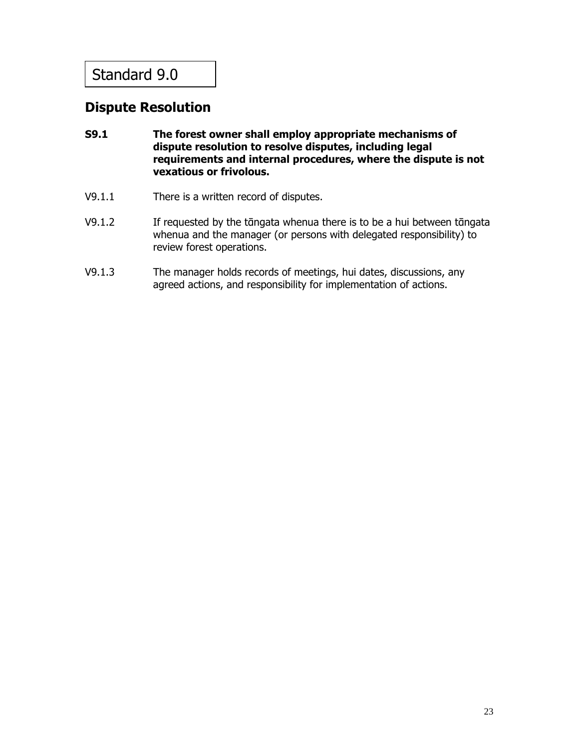### **Dispute Resolution**

- **S9.1 The forest owner shall employ appropriate mechanisms of dispute resolution to resolve disputes, including legal requirements and internal procedures, where the dispute is not vexatious or frivolous.**
- V9.1.1 There is a written record of disputes.
- V9.1.2 If requested by the tāngata whenua there is to be a hui between tāngata whenua and the manager (or persons with delegated responsibility) to review forest operations.
- V9.1.3 The manager holds records of meetings, hui dates, discussions, any agreed actions, and responsibility for implementation of actions.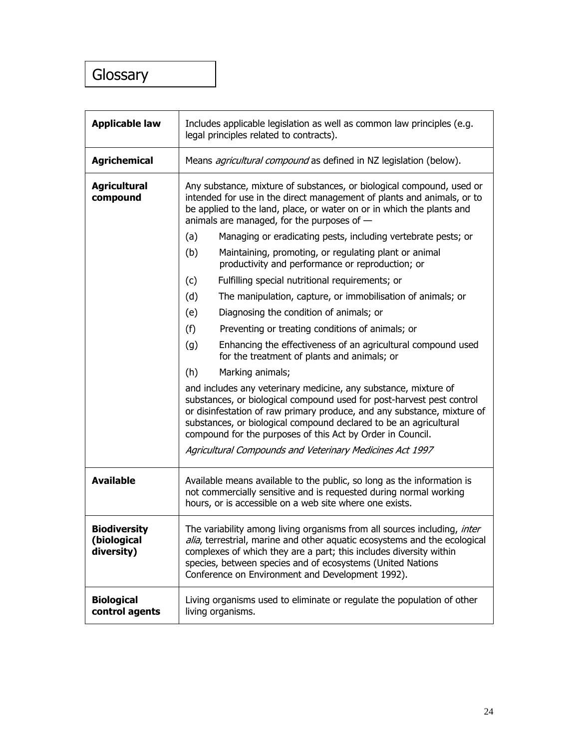### Glossary

| <b>Applicable law</b>                            | Includes applicable legislation as well as common law principles (e.g.<br>legal principles related to contracts).                                                                                                                                                                                                                                      |  |
|--------------------------------------------------|--------------------------------------------------------------------------------------------------------------------------------------------------------------------------------------------------------------------------------------------------------------------------------------------------------------------------------------------------------|--|
| <b>Agrichemical</b>                              | Means <i>agricultural compound</i> as defined in NZ legislation (below).                                                                                                                                                                                                                                                                               |  |
| <b>Agricultural</b><br>compound                  | Any substance, mixture of substances, or biological compound, used or<br>intended for use in the direct management of plants and animals, or to<br>be applied to the land, place, or water on or in which the plants and<br>animals are managed, for the purposes of $-$                                                                               |  |
|                                                  | Managing or eradicating pests, including vertebrate pests; or<br>(a)                                                                                                                                                                                                                                                                                   |  |
|                                                  | (b)<br>Maintaining, promoting, or regulating plant or animal<br>productivity and performance or reproduction; or                                                                                                                                                                                                                                       |  |
|                                                  | Fulfilling special nutritional requirements; or<br>(c)                                                                                                                                                                                                                                                                                                 |  |
|                                                  | (d)<br>The manipulation, capture, or immobilisation of animals; or                                                                                                                                                                                                                                                                                     |  |
|                                                  | Diagnosing the condition of animals; or<br>(e)                                                                                                                                                                                                                                                                                                         |  |
|                                                  | (f)<br>Preventing or treating conditions of animals; or                                                                                                                                                                                                                                                                                                |  |
|                                                  | Enhancing the effectiveness of an agricultural compound used<br>(g)<br>for the treatment of plants and animals; or                                                                                                                                                                                                                                     |  |
|                                                  | (h)<br>Marking animals;                                                                                                                                                                                                                                                                                                                                |  |
|                                                  | and includes any veterinary medicine, any substance, mixture of<br>substances, or biological compound used for post-harvest pest control<br>or disinfestation of raw primary produce, and any substance, mixture of<br>substances, or biological compound declared to be an agricultural<br>compound for the purposes of this Act by Order in Council. |  |
|                                                  | Agricultural Compounds and Veterinary Medicines Act 1997                                                                                                                                                                                                                                                                                               |  |
| <b>Available</b>                                 | Available means available to the public, so long as the information is<br>not commercially sensitive and is requested during normal working<br>hours, or is accessible on a web site where one exists.                                                                                                                                                 |  |
| <b>Biodiversity</b><br>(biological<br>diversity) | The variability among living organisms from all sources including, inter<br>alia, terrestrial, marine and other aquatic ecosystems and the ecological<br>complexes of which they are a part; this includes diversity within<br>species, between species and of ecosystems (United Nations<br>Conference on Environment and Development 1992).          |  |
| <b>Biological</b><br>control agents              | Living organisms used to eliminate or regulate the population of other<br>living organisms.                                                                                                                                                                                                                                                            |  |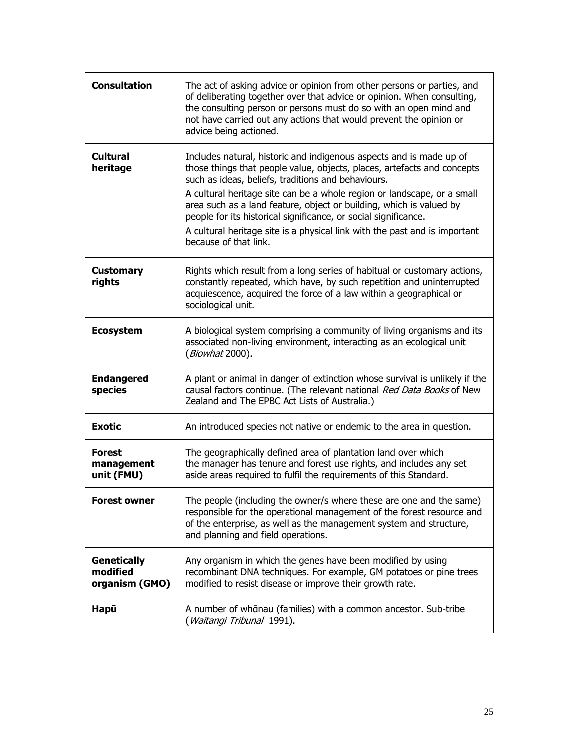| <b>Consultation</b>                              | The act of asking advice or opinion from other persons or parties, and<br>of deliberating together over that advice or opinion. When consulting,<br>the consulting person or persons must do so with an open mind and<br>not have carried out any actions that would prevent the opinion or<br>advice being actioned.                                                                                                                                                                                                            |
|--------------------------------------------------|----------------------------------------------------------------------------------------------------------------------------------------------------------------------------------------------------------------------------------------------------------------------------------------------------------------------------------------------------------------------------------------------------------------------------------------------------------------------------------------------------------------------------------|
| <b>Cultural</b><br>heritage                      | Includes natural, historic and indigenous aspects and is made up of<br>those things that people value, objects, places, artefacts and concepts<br>such as ideas, beliefs, traditions and behaviours.<br>A cultural heritage site can be a whole region or landscape, or a small<br>area such as a land feature, object or building, which is valued by<br>people for its historical significance, or social significance.<br>A cultural heritage site is a physical link with the past and is important<br>because of that link. |
| <b>Customary</b><br>rights                       | Rights which result from a long series of habitual or customary actions,<br>constantly repeated, which have, by such repetition and uninterrupted<br>acquiescence, acquired the force of a law within a geographical or<br>sociological unit.                                                                                                                                                                                                                                                                                    |
| <b>Ecosystem</b>                                 | A biological system comprising a community of living organisms and its<br>associated non-living environment, interacting as an ecological unit<br>(Biowhat 2000).                                                                                                                                                                                                                                                                                                                                                                |
| <b>Endangered</b><br>species                     | A plant or animal in danger of extinction whose survival is unlikely if the<br>causal factors continue. (The relevant national Red Data Books of New<br>Zealand and The EPBC Act Lists of Australia.)                                                                                                                                                                                                                                                                                                                            |
| <b>Exotic</b>                                    | An introduced species not native or endemic to the area in question.                                                                                                                                                                                                                                                                                                                                                                                                                                                             |
| <b>Forest</b><br>management<br>unit (FMU)        | The geographically defined area of plantation land over which<br>the manager has tenure and forest use rights, and includes any set<br>aside areas required to fulfil the requirements of this Standard.                                                                                                                                                                                                                                                                                                                         |
| <b>Forest owner</b>                              | The people (including the owner/s where these are one and the same)<br>responsible for the operational management of the forest resource and<br>of the enterprise, as well as the management system and structure,<br>and planning and field operations.                                                                                                                                                                                                                                                                         |
| <b>Genetically</b><br>modified<br>organism (GMO) | Any organism in which the genes have been modified by using<br>recombinant DNA techniques. For example, GM potatoes or pine trees<br>modified to resist disease or improve their growth rate.                                                                                                                                                                                                                                                                                                                                    |
| Hapū                                             | A number of whānau (families) with a common ancestor. Sub-tribe<br>(Waitangi Tribunal 1991).                                                                                                                                                                                                                                                                                                                                                                                                                                     |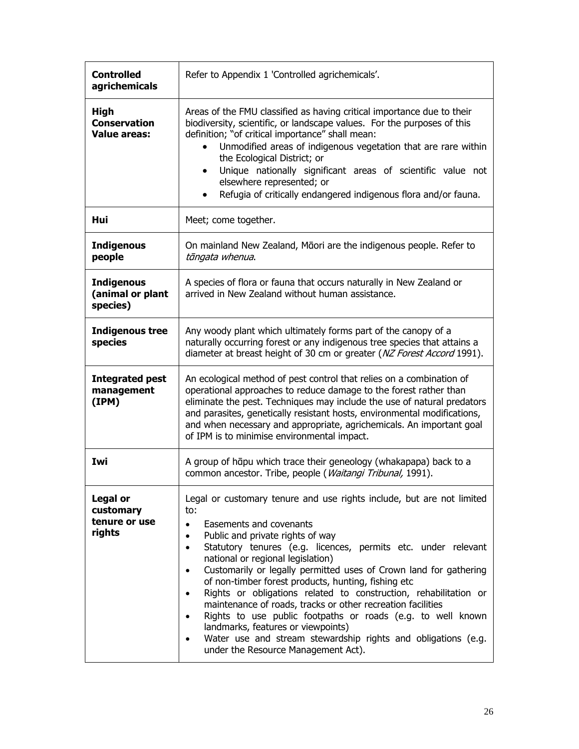| <b>Controlled</b><br>agrichemicals                        | Refer to Appendix 1 'Controlled agrichemicals'.                                                                                                                                                                                                                                                                                                                                                                                                                                                                                                                                                                                                                                                                                                                                                                          |  |
|-----------------------------------------------------------|--------------------------------------------------------------------------------------------------------------------------------------------------------------------------------------------------------------------------------------------------------------------------------------------------------------------------------------------------------------------------------------------------------------------------------------------------------------------------------------------------------------------------------------------------------------------------------------------------------------------------------------------------------------------------------------------------------------------------------------------------------------------------------------------------------------------------|--|
| <b>High</b><br><b>Conservation</b><br><b>Value areas:</b> | Areas of the FMU classified as having critical importance due to their<br>biodiversity, scientific, or landscape values. For the purposes of this<br>definition; "of critical importance" shall mean:<br>Unmodified areas of indigenous vegetation that are rare within<br>the Ecological District; or<br>Unique nationally significant areas of scientific value not<br>$\bullet$<br>elsewhere represented; or<br>Refugia of critically endangered indigenous flora and/or fauna.                                                                                                                                                                                                                                                                                                                                       |  |
| Hui                                                       | Meet; come together.                                                                                                                                                                                                                                                                                                                                                                                                                                                                                                                                                                                                                                                                                                                                                                                                     |  |
| <b>Indigenous</b><br>people                               | On mainland New Zealand, Māori are the indigenous people. Refer to<br>tāngata whenua.                                                                                                                                                                                                                                                                                                                                                                                                                                                                                                                                                                                                                                                                                                                                    |  |
| <b>Indigenous</b><br>(animal or plant<br>species)         | A species of flora or fauna that occurs naturally in New Zealand or<br>arrived in New Zealand without human assistance.                                                                                                                                                                                                                                                                                                                                                                                                                                                                                                                                                                                                                                                                                                  |  |
| <b>Indigenous tree</b><br>species                         | Any woody plant which ultimately forms part of the canopy of a<br>naturally occurring forest or any indigenous tree species that attains a<br>diameter at breast height of 30 cm or greater (NZ Forest Accord 1991).                                                                                                                                                                                                                                                                                                                                                                                                                                                                                                                                                                                                     |  |
| <b>Integrated pest</b><br>management<br>(IPM)             | An ecological method of pest control that relies on a combination of<br>operational approaches to reduce damage to the forest rather than<br>eliminate the pest. Techniques may include the use of natural predators<br>and parasites, genetically resistant hosts, environmental modifications,<br>and when necessary and appropriate, agrichemicals. An important goal<br>of IPM is to minimise environmental impact.                                                                                                                                                                                                                                                                                                                                                                                                  |  |
| Iwi                                                       | A group of hāpu which trace their geneology (whakapapa) back to a<br>common ancestor. Tribe, people (Waitangi Tribunal, 1991).                                                                                                                                                                                                                                                                                                                                                                                                                                                                                                                                                                                                                                                                                           |  |
| <b>Legal or</b><br>customary<br>tenure or use<br>rights   | Legal or customary tenure and use rights include, but are not limited<br>to:<br>Easements and covenants<br>$\bullet$<br>Public and private rights of way<br>$\bullet$<br>Statutory tenures (e.g. licences, permits etc. under relevant<br>$\bullet$<br>national or regional legislation)<br>Customarily or legally permitted uses of Crown land for gathering<br>$\bullet$<br>of non-timber forest products, hunting, fishing etc<br>Rights or obligations related to construction, rehabilitation or<br>$\bullet$<br>maintenance of roads, tracks or other recreation facilities<br>Rights to use public footpaths or roads (e.g. to well known<br>$\bullet$<br>landmarks, features or viewpoints)<br>Water use and stream stewardship rights and obligations (e.g.<br>$\bullet$<br>under the Resource Management Act). |  |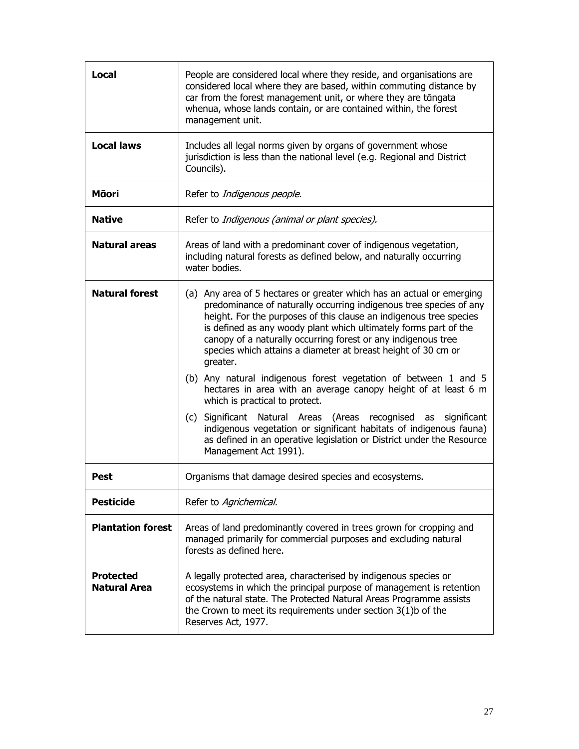| Local                                   | People are considered local where they reside, and organisations are<br>considered local where they are based, within commuting distance by<br>car from the forest management unit, or where they are tāngata<br>whenua, whose lands contain, or are contained within, the forest<br>management unit.                                                                                                                                                                                                                                                                                                                                                                                                                                                                                                                                                      |  |
|-----------------------------------------|------------------------------------------------------------------------------------------------------------------------------------------------------------------------------------------------------------------------------------------------------------------------------------------------------------------------------------------------------------------------------------------------------------------------------------------------------------------------------------------------------------------------------------------------------------------------------------------------------------------------------------------------------------------------------------------------------------------------------------------------------------------------------------------------------------------------------------------------------------|--|
| <b>Local laws</b>                       | Includes all legal norms given by organs of government whose<br>jurisdiction is less than the national level (e.g. Regional and District<br>Councils).                                                                                                                                                                                                                                                                                                                                                                                                                                                                                                                                                                                                                                                                                                     |  |
| Māori                                   | Refer to Indigenous people.                                                                                                                                                                                                                                                                                                                                                                                                                                                                                                                                                                                                                                                                                                                                                                                                                                |  |
| <b>Native</b>                           | Refer to Indigenous (animal or plant species).                                                                                                                                                                                                                                                                                                                                                                                                                                                                                                                                                                                                                                                                                                                                                                                                             |  |
| <b>Natural areas</b>                    | Areas of land with a predominant cover of indigenous vegetation,<br>including natural forests as defined below, and naturally occurring<br>water bodies.                                                                                                                                                                                                                                                                                                                                                                                                                                                                                                                                                                                                                                                                                                   |  |
| <b>Natural forest</b>                   | (a) Any area of 5 hectares or greater which has an actual or emerging<br>predominance of naturally occurring indigenous tree species of any<br>height. For the purposes of this clause an indigenous tree species<br>is defined as any woody plant which ultimately forms part of the<br>canopy of a naturally occurring forest or any indigenous tree<br>species which attains a diameter at breast height of 30 cm or<br>greater.<br>(b) Any natural indigenous forest vegetation of between 1 and 5<br>hectares in area with an average canopy height of at least 6 m<br>which is practical to protect.<br>Significant Natural Areas (Areas recognised as<br>(c)<br>significant<br>indigenous vegetation or significant habitats of indigenous fauna)<br>as defined in an operative legislation or District under the Resource<br>Management Act 1991). |  |
| Pest                                    | Organisms that damage desired species and ecosystems.                                                                                                                                                                                                                                                                                                                                                                                                                                                                                                                                                                                                                                                                                                                                                                                                      |  |
| <b>Pesticide</b>                        | Refer to Agrichemical.                                                                                                                                                                                                                                                                                                                                                                                                                                                                                                                                                                                                                                                                                                                                                                                                                                     |  |
| <b>Plantation forest</b>                | Areas of land predominantly covered in trees grown for cropping and<br>managed primarily for commercial purposes and excluding natural<br>forests as defined here.                                                                                                                                                                                                                                                                                                                                                                                                                                                                                                                                                                                                                                                                                         |  |
| <b>Protected</b><br><b>Natural Area</b> | A legally protected area, characterised by indigenous species or<br>ecosystems in which the principal purpose of management is retention<br>of the natural state. The Protected Natural Areas Programme assists<br>the Crown to meet its requirements under section $3(1)b$ of the<br>Reserves Act, 1977.                                                                                                                                                                                                                                                                                                                                                                                                                                                                                                                                                  |  |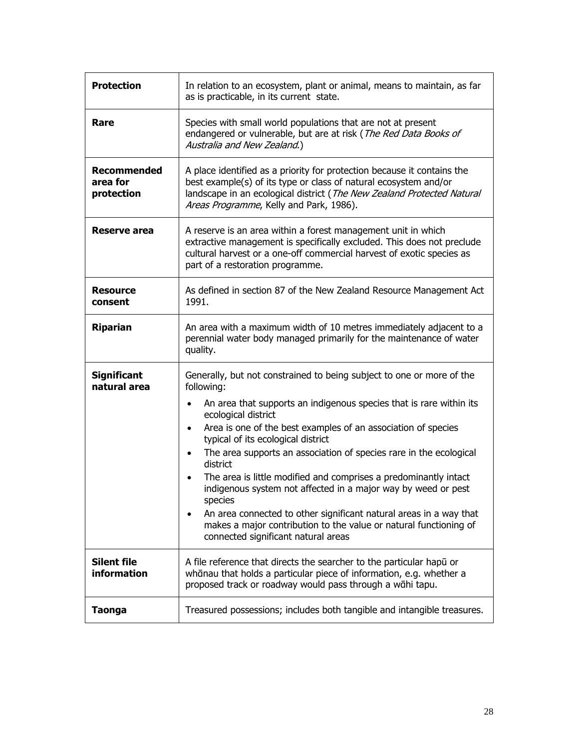| <b>Protection</b>                            | In relation to an ecosystem, plant or animal, means to maintain, as far<br>as is practicable, in its current state.                                                                                                                                                                                                                                                                                                                                                                                                                                                                                                                                                                                                                    |
|----------------------------------------------|----------------------------------------------------------------------------------------------------------------------------------------------------------------------------------------------------------------------------------------------------------------------------------------------------------------------------------------------------------------------------------------------------------------------------------------------------------------------------------------------------------------------------------------------------------------------------------------------------------------------------------------------------------------------------------------------------------------------------------------|
| Rare                                         | Species with small world populations that are not at present<br>endangered or vulnerable, but are at risk (The Red Data Books of<br>Australia and New Zealand.)                                                                                                                                                                                                                                                                                                                                                                                                                                                                                                                                                                        |
| <b>Recommended</b><br>area for<br>protection | A place identified as a priority for protection because it contains the<br>best example(s) of its type or class of natural ecosystem and/or<br>landscape in an ecological district (The New Zealand Protected Natural<br>Areas Programme, Kelly and Park, 1986).                                                                                                                                                                                                                                                                                                                                                                                                                                                                       |
| Reserve area                                 | A reserve is an area within a forest management unit in which<br>extractive management is specifically excluded. This does not preclude<br>cultural harvest or a one-off commercial harvest of exotic species as<br>part of a restoration programme.                                                                                                                                                                                                                                                                                                                                                                                                                                                                                   |
| <b>Resource</b><br>consent                   | As defined in section 87 of the New Zealand Resource Management Act<br>1991.                                                                                                                                                                                                                                                                                                                                                                                                                                                                                                                                                                                                                                                           |
| <b>Riparian</b>                              | An area with a maximum width of 10 metres immediately adjacent to a<br>perennial water body managed primarily for the maintenance of water<br>quality.                                                                                                                                                                                                                                                                                                                                                                                                                                                                                                                                                                                 |
| <b>Significant</b><br>natural area           | Generally, but not constrained to being subject to one or more of the<br>following:<br>An area that supports an indigenous species that is rare within its<br>$\bullet$<br>ecological district<br>Area is one of the best examples of an association of species<br>$\bullet$<br>typical of its ecological district<br>The area supports an association of species rare in the ecological<br>district<br>The area is little modified and comprises a predominantly intact<br>indigenous system not affected in a major way by weed or pest<br>species<br>An area connected to other significant natural areas in a way that<br>makes a major contribution to the value or natural functioning of<br>connected significant natural areas |
| <b>Silent file</b><br>information            | A file reference that directs the searcher to the particular hapu or<br>whānau that holds a particular piece of information, e.g. whether a<br>proposed track or roadway would pass through a wāhi tapu.                                                                                                                                                                                                                                                                                                                                                                                                                                                                                                                               |
| <b>Taonga</b>                                | Treasured possessions; includes both tangible and intangible treasures.                                                                                                                                                                                                                                                                                                                                                                                                                                                                                                                                                                                                                                                                |
|                                              |                                                                                                                                                                                                                                                                                                                                                                                                                                                                                                                                                                                                                                                                                                                                        |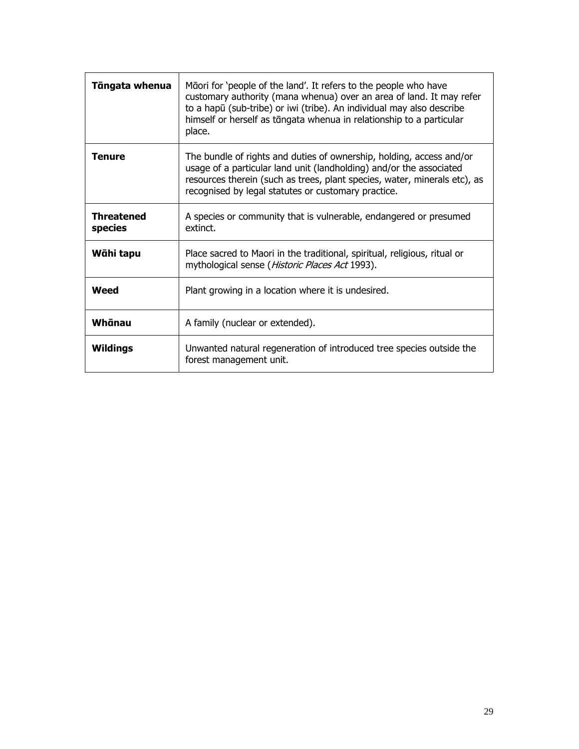| Tāngata whenua               | Māori for 'people of the land'. It refers to the people who have<br>customary authority (mana whenua) over an area of land. It may refer<br>to a hapū (sub-tribe) or iwi (tribe). An individual may also describe<br>himself or herself as tāngata whenua in relationship to a particular<br>place. |  |
|------------------------------|-----------------------------------------------------------------------------------------------------------------------------------------------------------------------------------------------------------------------------------------------------------------------------------------------------|--|
| <b>Tenure</b>                | The bundle of rights and duties of ownership, holding, access and/or<br>usage of a particular land unit (landholding) and/or the associated<br>resources therein (such as trees, plant species, water, minerals etc), as<br>recognised by legal statutes or customary practice.                     |  |
| <b>Threatened</b><br>species | A species or community that is vulnerable, endangered or presumed<br>extinct.                                                                                                                                                                                                                       |  |
| Wāhi tapu                    | Place sacred to Maori in the traditional, spiritual, religious, ritual or<br>mythological sense (Historic Places Act 1993).                                                                                                                                                                         |  |
| Weed                         | Plant growing in a location where it is undesired.                                                                                                                                                                                                                                                  |  |
| Whānau                       | A family (nuclear or extended).                                                                                                                                                                                                                                                                     |  |
| <b>Wildings</b>              | Unwanted natural regeneration of introduced tree species outside the<br>forest management unit.                                                                                                                                                                                                     |  |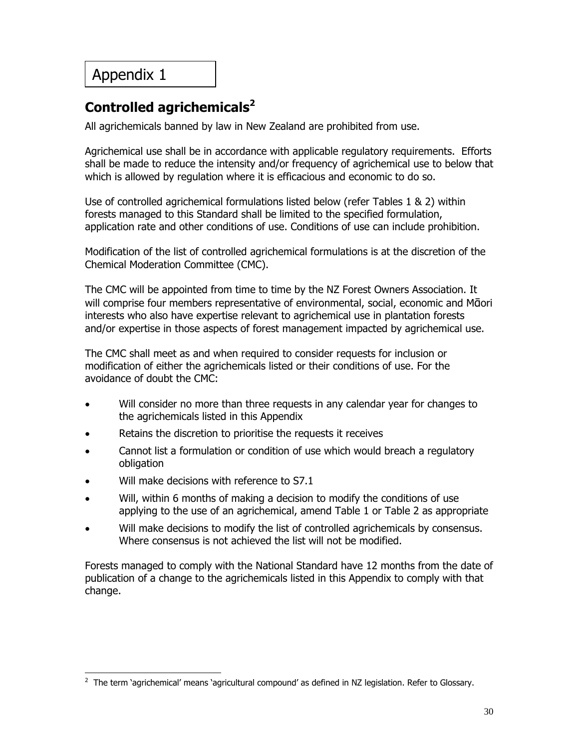### **Controlled agrichemicals<sup>2</sup>**

All agrichemicals banned by law in New Zealand are prohibited from use.

Agrichemical use shall be in accordance with applicable regulatory requirements. Efforts shall be made to reduce the intensity and/or frequency of agrichemical use to below that which is allowed by regulation where it is efficacious and economic to do so.

Use of controlled agrichemical formulations listed below (refer Tables 1 & 2) within forests managed to this Standard shall be limited to the specified formulation, application rate and other conditions of use. Conditions of use can include prohibition.

Modification of the list of controlled agrichemical formulations is at the discretion of the Chemical Moderation Committee (CMC).

The CMC will be appointed from time to time by the NZ Forest Owners Association. It will comprise four members representative of environmental, social, economic and Mᾱori interests who also have expertise relevant to agrichemical use in plantation forests and/or expertise in those aspects of forest management impacted by agrichemical use.

The CMC shall meet as and when required to consider requests for inclusion or modification of either the agrichemicals listed or their conditions of use. For the avoidance of doubt the CMC:

- Will consider no more than three requests in any calendar year for changes to the agrichemicals listed in this Appendix
- Retains the discretion to prioritise the requests it receives
- Cannot list a formulation or condition of use which would breach a regulatory obligation
- Will make decisions with reference to S7.1
- Will, within 6 months of making a decision to modify the conditions of use applying to the use of an agrichemical, amend Table 1 or Table 2 as appropriate
- Will make decisions to modify the list of controlled agrichemicals by consensus. Where consensus is not achieved the list will not be modified.

Forests managed to comply with the National Standard have 12 months from the date of publication of a change to the agrichemicals listed in this Appendix to comply with that change.

 2 The term 'agrichemical' means 'agricultural compound' as defined in NZ legislation. Refer to Glossary.